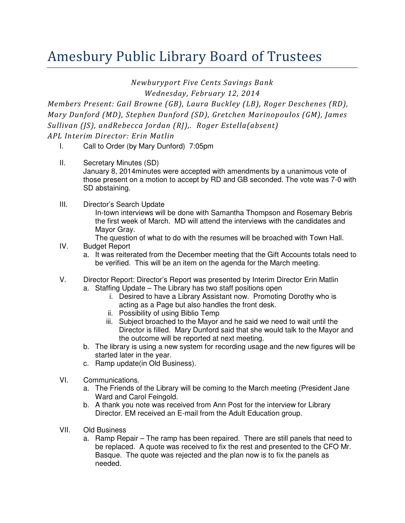## Amesbury Public Library Board of Trustees

Newburyport Five Cents Savings Bank

Wednesday, February 12, 2014

Members Present: Gail Browne (GB), Laura Buckley (LB), Roger Deschenes (RD), Mary Dunford (MD), Stephen Dunford (SD), Gretchen Marinopoulos (GM), James Sullivan (JS), andRebecca Jordan (RJ),. Roger Estella(absent) APL Interim Director: Erin Matlin

- I. Call to Order (by Mary Dunford) 7:05pm
- II. Secretary Minutes (SD) January 8, 2014minutes were accepted with amendments by a unanimous vote of those present on a motion to accept by RD and GB seconded. The vote was 7-0 with SD abstaining.
- III. Director's Search Update In-town interviews will be done with Samantha Thompson and Rosemary Bebris the first week of March. MD will attend the interviews with the candidates and Mayor Gray.

## The question of what to do with the resumes will be broached with Town Hall.

- IV. Budget Report
	- a. It was reiterated from the December meeting that the Gift Accounts totals need to be verified. This will be an item on the agenda for the March meeting.
- V. Director Report: Director's Report was presented by Interim Director Erin Matlin a. Staffing Update – The Library has two staff positions open
	- i. Desired to have a Library Assistant now. Promoting Dorothy who is acting as a Page but also handles the front desk.
	- ii. Possibility of using Biblio Temp
	- iii. Subject broached to the Mayor and he said we need to wait until the Director is filled. Mary Dunford said that she would talk to the Mayor and the outcome will be reported at next meeting.
	- b. The library is using a new system for recording usage and the new figures will be started later in the year.
	- c. Ramp update(in Old Business).
- VI. Communications.
	- a. The Friends of the Library will be coming to the March meeting (President Jane Ward and Carol Feingold.
	- b. A thank you note was received from Ann Post for the interview for Library Director. EM received an E-mail from the Adult Education group.
- VII. Old Business
	- a. Ramp Repair The ramp has been repaired. There are still panels that need to be replaced. A quote was received to fix the rest and presented to the CFO Mr. Basque. The quote was rejected and the plan now is to fix the panels as needed.